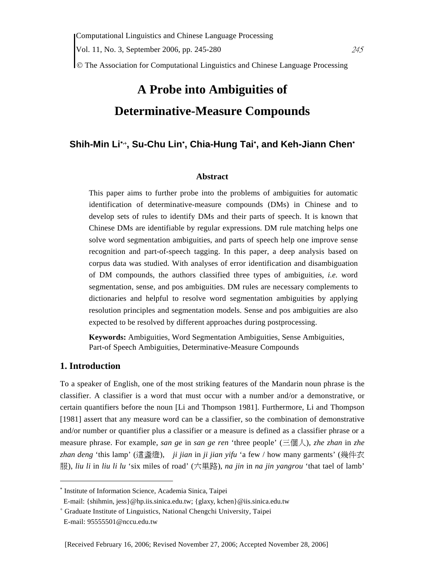© The Association for Computational Linguistics and Chinese Language Processing

# **A Probe into Ambiguities of Determinative-Measure Compounds**

# **Shih-Min Li**<sup>∗</sup>**,**<sup>+</sup> **, Su-Chu Lin**<sup>∗</sup> **, Chia-Hung Tai**<sup>∗</sup> **, and Keh-Jiann Chen**<sup>∗</sup>

#### **Abstract**

This paper aims to further probe into the problems of ambiguities for automatic identification of determinative-measure compounds (DMs) in Chinese and to develop sets of rules to identify DMs and their parts of speech. It is known that Chinese DMs are identifiable by regular expressions. DM rule matching helps one solve word segmentation ambiguities, and parts of speech help one improve sense recognition and part-of-speech tagging. In this paper, a deep analysis based on corpus data was studied. With analyses of error identification and disambiguation of DM compounds, the authors classified three types of ambiguities, *i.e.* word segmentation, sense, and pos ambiguities. DM rules are necessary complements to dictionaries and helpful to resolve word segmentation ambiguities by applying resolution principles and segmentation models. Sense and pos ambiguities are also expected to be resolved by different approaches during postprocessing.

**Keywords:** Ambiguities, Word Segmentation Ambiguities, Sense Ambiguities, Part-of Speech Ambiguities, Determinative-Measure Compounds

# **1. Introduction**

 $\overline{a}$ 

To a speaker of English, one of the most striking features of the Mandarin noun phrase is the classifier. A classifier is a word that must occur with a number and/or a demonstrative, or certain quantifiers before the noun [Li and Thompson 1981]. Furthermore, Li and Thompson [1981] assert that any measure word can be a classifier, so the combination of demonstrative and/or number or quantifier plus a classifier or a measure is defined as a classifier phrase or a measure phrase. For example, *san ge* in *san ge ren* 'three people' (三個人), *zhe zhan* in *zhe zhan deng* 'this lamp' (這盞燈), *ji jian* in *ji jian yifu* 'a few / how many garments' (幾件衣 服), *liu li* in *liu li lu* 'six miles of road' (六里路), *na jin* in *na jin yangrou* 'that tael of lamb'

<sup>∗</sup> Institute of Information Science, Academia Sinica, Taipei

E-mail: {shihmin, jess}@hp.iis.sinica.edu.tw; {glaxy, kchen}@iis.sinica.edu.tw

<sup>+</sup> Graduate Institute of Linguistics, National Chengchi University, Taipei

E-mail: 95555501@nccu.edu.tw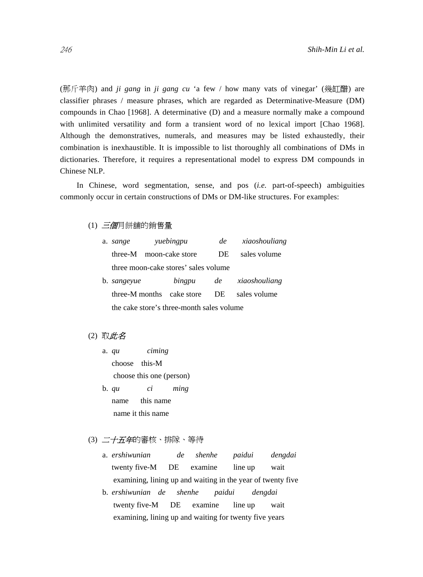(那斤羊肉) and *ji gang* in *ji gang cu* 'a few / how many vats of vinegar' (幾缸醋) are classifier phrases / measure phrases, which are regarded as Determinative-Measure (DM) compounds in Chao [1968]. A determinative (D) and a measure normally make a compound with unlimited versatility and form a transient word of no lexical import [Chao 1968]. Although the demonstratives, numerals, and measures may be listed exhaustedly, their combination is inexhaustible. It is impossible to list thoroughly all combinations of DMs in dictionaries. Therefore, it requires a representational model to express DM compounds in Chinese NLP.

In Chinese, word segmentation, sense, and pos (*i.e.* part-of-speech) ambiguities commonly occur in certain constructions of DMs or DM-like structures. For examples:

(1) 三個月餅舖的銷售量

| a.                                        | yuebingpu<br>sange                   |  | de              | xiaoshouliang |               |
|-------------------------------------------|--------------------------------------|--|-----------------|---------------|---------------|
|                                           | three-M                              |  | moon-cake store | DE            | sales volume  |
|                                           | three moon-cake stores' sales volume |  |                 |               |               |
|                                           | b. <i>sangeyue</i>                   |  | bingpu          | de            | xiaoshouliang |
|                                           | three-M months                       |  | cake store      | DE.           | sales volume  |
| the cake store's three-month sales volume |                                      |  |                 |               |               |

# (2) 取此名

- a. *qu ciming* choose this-M choose this one (person)
- b. *qu ci ming* name this name name it this name
- (3) 二十五年的審核、排隊、等待
	- a. *ershiwunian de shenhe paidui dengdai* twenty five-M DE examine line up wait examining, lining up and waiting in the year of twenty five
	- b. *ershiwunian de shenhe paidui dengdai* twenty five-M DE examine line up wait examining, lining up and waiting for twenty five years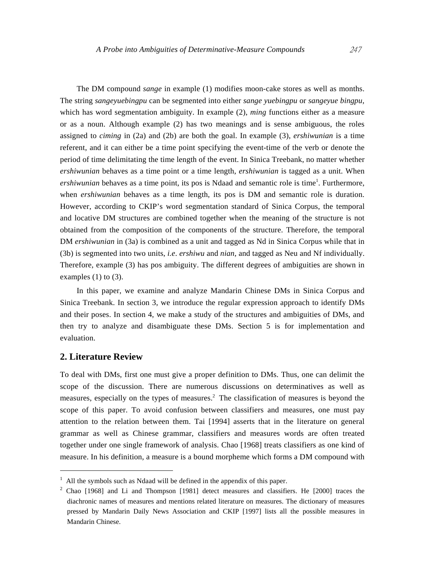The DM compound *sange* in example (1) modifies moon-cake stores as well as months. The string *sangeyuebingpu* can be segmented into either *sange yuebingpu* or *sangeyue bingpu*, which has word segmentation ambiguity. In example (2), *ming* functions either as a measure or as a noun. Although example (2) has two meanings and is sense ambiguous, the roles assigned to *ciming* in (2a) and (2b) are both the goal. In example (3), *ershiwunian* is a time referent, and it can either be a time point specifying the event-time of the verb or denote the period of time delimitating the time length of the event. In Sinica Treebank, no matter whether *ershiwunian* behaves as a time point or a time length, *ershiwunian* is tagged as a unit. When ershiwunian behaves as a time point, its pos is Ndaad and semantic role is time<sup>1</sup>. Furthermore, when *ershiwunian* behaves as a time length, its pos is DM and semantic role is duration. However, according to CKIP's word segmentation standard of Sinica Corpus, the temporal and locative DM structures are combined together when the meaning of the structure is not obtained from the composition of the components of the structure. Therefore, the temporal DM *ershiwunian* in (3a) is combined as a unit and tagged as Nd in Sinica Corpus while that in (3b) is segmented into two units, *i.e*. *ershiwu* and *nian*, and tagged as Neu and Nf individually. Therefore, example (3) has pos ambiguity. The different degrees of ambiguities are shown in examples  $(1)$  to  $(3)$ .

In this paper, we examine and analyze Mandarin Chinese DMs in Sinica Corpus and Sinica Treebank. In section 3, we introduce the regular expression approach to identify DMs and their poses. In section 4, we make a study of the structures and ambiguities of DMs, and then try to analyze and disambiguate these DMs. Section 5 is for implementation and evaluation.

# **2. Literature Review**

 $\overline{a}$ 

To deal with DMs, first one must give a proper definition to DMs. Thus, one can delimit the scope of the discussion. There are numerous discussions on determinatives as well as measures, especially on the types of measures.<sup>2</sup> The classification of measures is beyond the scope of this paper. To avoid confusion between classifiers and measures, one must pay attention to the relation between them. Tai [1994] asserts that in the literature on general grammar as well as Chinese grammar, classifiers and measures words are often treated together under one single framework of analysis. Chao [1968] treats classifiers as one kind of measure. In his definition, a measure is a bound morpheme which forms a DM compound with

 $<sup>1</sup>$  All the symbols such as Ndaad will be defined in the appendix of this paper.</sup>

 $2$  Chao [1968] and Li and Thompson [1981] detect measures and classifiers. He [2000] traces the diachronic names of measures and mentions related literature on measures. The dictionary of measures pressed by Mandarin Daily News Association and CKIP [1997] lists all the possible measures in Mandarin Chinese.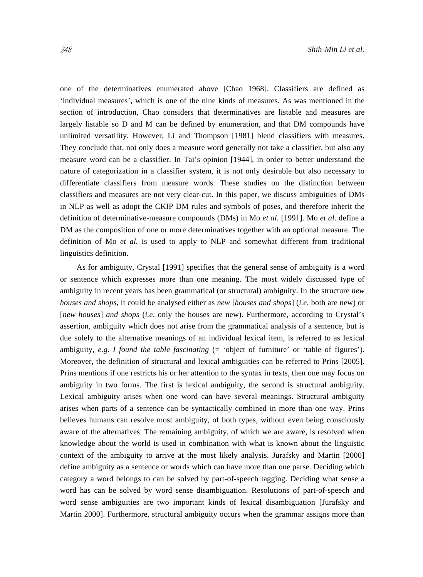one of the determinatives enumerated above [Chao 1968]. Classifiers are defined as 'individual measures', which is one of the nine kinds of measures. As was mentioned in the section of introduction, Chao considers that determinatives are listable and measures are largely listable so D and M can be defined by enumeration, and that DM compounds have unlimited versatility. However, Li and Thompson [1981] blend classifiers with measures. They conclude that, not only does a measure word generally not take a classifier, but also any measure word can be a classifier. In Tai's opinion [1944], in order to better understand the nature of categorization in a classifier system, it is not only desirable but also necessary to differentiate classifiers from measure words. These studies on the distinction between classifiers and measures are not very clear-cut. In this paper, we discuss ambiguities of DMs in NLP as well as adopt the CKIP DM rules and symbols of poses, and therefore inherit the definition of determinative-measure compounds (DMs) in Mo *et al.* [1991]. Mo *et al*. define a DM as the composition of one or more determinatives together with an optional measure. The definition of Mo *et al.* is used to apply to NLP and somewhat different from traditional linguistics definition.

As for ambiguity, Crystal [1991] specifies that the general sense of ambiguity is a word or sentence which expresses more than one meaning. The most widely discussed type of ambiguity in recent years has been grammatical (or structural) ambiguity. In the structure *new houses and shops*, it could be analysed either as *new* [*houses and shops*] (*i.e*. both are new) or [*new houses*] *and shops* (*i.e*. only the houses are new). Furthermore, according to Crystal's assertion, ambiguity which does not arise from the grammatical analysis of a sentence, but is due solely to the alternative meanings of an individual lexical item, is referred to as lexical ambiguity, *e.g. I found the table fascinating* (= 'object of furniture' or 'table of figures'). Moreover, the definition of structural and lexical ambiguities can be referred to Prins [2005]. Prins mentions if one restricts his or her attention to the syntax in texts, then one may focus on ambiguity in two forms. The first is lexical ambiguity, the second is structural ambiguity. Lexical ambiguity arises when one word can have several meanings. Structural ambiguity arises when parts of a sentence can be syntactically combined in more than one way. Prins believes humans can resolve most ambiguity, of both types, without even being consciously aware of the alternatives. The remaining ambiguity, of which we are aware, is resolved when knowledge about the world is used in combination with what is known about the linguistic context of the ambiguity to arrive at the most likely analysis. Jurafsky and Martin [2000] define ambiguity as a sentence or words which can have more than one parse. Deciding which category a word belongs to can be solved by part-of-speech tagging. Deciding what sense a word has can be solved by word sense disambiguation. Resolutions of part-of-speech and word sense ambiguities are two important kinds of lexical disambiguation [Jurafsky and Martin 2000]. Furthermore, structural ambiguity occurs when the grammar assigns more than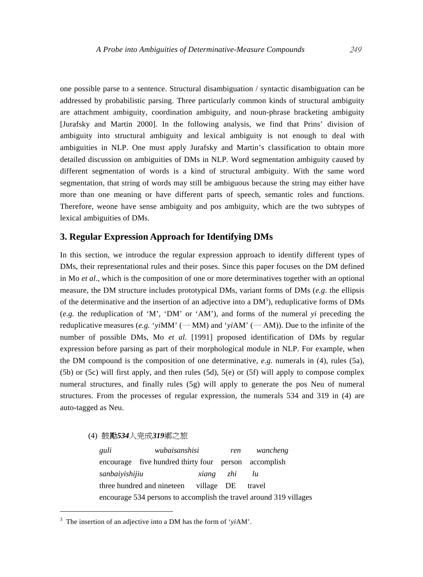one possible parse to a sentence. Structural disambiguation / syntactic disambiguation can be addressed by probabilistic parsing. Three particularly common kinds of structural ambiguity are attachment ambiguity, coordination ambiguity, and noun-phrase bracketing ambiguity [Jurafsky and Martin 2000]. In the following analysis, we find that Prins' division of ambiguity into structural ambiguity and lexical ambiguity is not enough to deal with ambiguities in NLP. One must apply Jurafsky and Martin's classification to obtain more detailed discussion on ambiguities of DMs in NLP. Word segmentation ambiguity caused by different segmentation of words is a kind of structural ambiguity. With the same word segmentation, that string of words may still be ambiguous because the string may either have more than one meaning or have different parts of speech, semantic roles and functions. Therefore, weone have sense ambiguity and pos ambiguity, which are the two subtypes of lexical ambiguities of DMs.

#### **3. Regular Expression Approach for Identifying DMs**

In this section, we introduce the regular expression approach to identify different types of DMs, their representational rules and their poses. Since this paper focuses on the DM defined in Mo *et al*., which is the composition of one or more determinatives together with an optional measure, the DM structure includes prototypical DMs, variant forms of DMs (*e.g*. the ellipsis of the determinative and the insertion of an adjective into a DM<sup>3</sup>), reduplicative forms of DMs (*e.g.* the reduplication of 'M', 'DM' or 'AM'), and forms of the numeral *yi* preceding the reduplicative measures (*e.g.* '*yi*MM' ( $-MM$ ) and '*yiAM*' ( $-AM$ )). Due to the infinite of the number of possible DMs, Mo *et al.* [1991] proposed identification of DMs by regular expression before parsing as part of their morphological module in NLP. For example, when the DM compound is the composition of one determinative, *e.g.* numerals in (4), rules (5a), (5b) or (5c) will first apply, and then rules (5d), 5(e) or (5f) will apply to compose complex numeral structures, and finally rules (5g) will apply to generate the pos Neu of numeral structures. From the processes of regular expression, the numerals 534 and 319 in (4) are auto-tagged as Neu.

(4) 鼓勵*534*人完成*319*鄉之旅

 $\overline{a}$ 

*guli wubaisanshisi ren wancheng*  encourage five hundred thirty four person accomplish *sanbaiyishijiu xiang zhi lu*  three hundred and nineteen village DE travel encourage 534 persons to accomplish the travel around 319 villages

<sup>3</sup> The insertion of an adjective into a DM has the form of '*yi*AM'.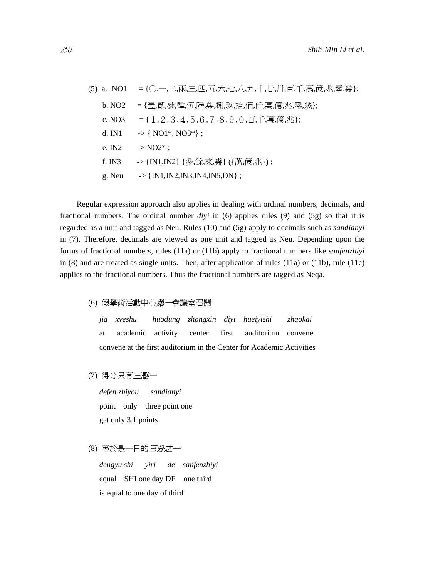|          | (5) a. NO1 = { $\bigcirc$ , $\bigcirc$ , $\bigcirc$ , $\overline{m}$ , $\Xi$ , $\overline{m}$ , $\overline{H}$ , $\overline{r}$ , $\bigcirc$ , $\bigcirc$ , $\bigcirc$ , $\bigcirc$ , $\bigcirc$ , $\overline{r}$ , $\bigcirc$ , $\overline{r}$ , $\overline{r}$ , $\overline{r}$ , $\overline{r}$ , $\overline{r}$ , $\overline{r}$ , $\overline{r}$ , $\overline{r}$ , $\overline{r}$ |
|----------|-----------------------------------------------------------------------------------------------------------------------------------------------------------------------------------------------------------------------------------------------------------------------------------------------------------------------------------------------------------------------------------------|
| b. NO2   | ={壹,貳,參,肆,伍,陸,柒,捌,玖,拾,佰,仟,萬,億,兆,零,幾};                                                                                                                                                                                                                                                                                                                                                   |
|          | c. NO3 = { $1, 2, 3, 4, 5, 6, 7, 8, 9, 0, \overline{p},$ $\overline{f}, \overline{g}, \overline{g}, \overline{g}, \overline{g}$ };                                                                                                                                                                                                                                                      |
|          | d. IN1 $\rightarrow$ { NO1 <sup>*</sup> , NO3 <sup>*</sup> };                                                                                                                                                                                                                                                                                                                           |
| e. $IN2$ | $\sim$ NO2* :                                                                                                                                                                                                                                                                                                                                                                           |
| f. IN3   | -> {IN1,IN2} {多,餘,來,幾} ({萬,億,兆});                                                                                                                                                                                                                                                                                                                                                       |
|          | g. Neu $\rightarrow$ {IN1,IN2,IN3,IN4,IN5,DN} ;                                                                                                                                                                                                                                                                                                                                         |

Regular expression approach also applies in dealing with ordinal numbers, decimals, and fractional numbers. The ordinal number *diyi* in (6) applies rules (9) and (5g) so that it is regarded as a unit and tagged as Neu. Rules (10) and (5g) apply to decimals such as *sandianyi* in (7). Therefore, decimals are viewed as one unit and tagged as Neu. Depending upon the forms of fractional numbers, rules (11a) or (11b) apply to fractional numbers like *sanfenzhiyi* in  $(8)$  and are treated as single units. Then, after application of rules  $(11a)$  or  $(11b)$ , rule  $(11c)$ applies to the fractional numbers. Thus the fractional numbers are tagged as Neqa.

(6) 假學術活動中心第一會議室召開

*jia xveshu huodung zhongxin diyi hueiyishi zhaokai*  at academic activity center first auditorium convene convene at the first auditorium in the Center for Academic Activities

(7) 得分只有三點一

*defen zhiyou sandianyi*  point only three point one get only 3.1 points

(8) 等於是一日的*三分之一* 

*dengyu shi yiri de sanfenzhiyi*  equal SHI one day DE one third is equal to one day of third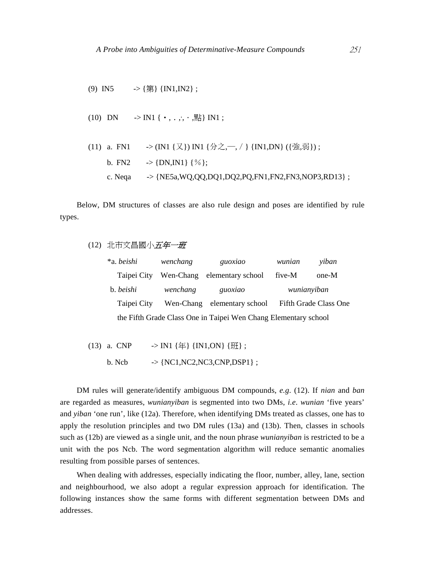- (9) IN5  $\rightarrow$  {第} {IN1,IN2};
- (10) DN  $\rightarrow$  IN1 {  $\cdot$ , ., ,  $\cdot$ , \\\\\lin {\langle 1}} IN1 ;

\n- (11) a. FN1 
$$
\rightarrow
$$
 (IN1 { $\times$ }) IN1 { $\land$   $\rightarrow$  (IN1, DN) ({ $\oplus$ ,  $\overline{3}$ }) ;
\n- b. FN2  $\rightarrow$  {DN, IN1} { $\%$ };
\n- c. Nega  $\rightarrow$  {NE5a, WQ,QQ,DQ1,DQ2,PQ,FN1,FN2,FN3, NOP3,RD13};
\n

Below, DM structures of classes are also rule design and poses are identified by rule types.

# (12) 北市文昌國小五年一班

| *a. beishi  | wenchang  | guoxiao                                                         | wunian | yiban                 |
|-------------|-----------|-----------------------------------------------------------------|--------|-----------------------|
| Taipei City |           | Wen-Chang elementary school                                     | five-M | one-M                 |
| b. beishi   | wenchang  | guoxiao                                                         |        | wunianyiban           |
| Taipei City | Wen-Chang | elementary school                                               |        | Fifth Grade Class One |
|             |           | the Fifth Grade Class One in Taipei Wen Chang Elementary school |        |                       |

- (13) a. CNP  $\rightarrow$  IN1 { $\#$ } {IN1,ON} { $\mathcal{H}$ };
	- b. Ncb  $\rightarrow \{NC1, NC2, NC3, CNP, DSP1\}$ ;

DM rules will generate/identify ambiguous DM compounds, *e.g*. (12). If *nian* and *ban* are regarded as measures, *wunianyiban* is segmented into two DMs, *i.e*. *wunian* 'five years' and *yiban* 'one run', like (12a). Therefore, when identifying DMs treated as classes, one has to apply the resolution principles and two DM rules (13a) and (13b). Then, classes in schools such as (12b) are viewed as a single unit, and the noun phrase *wunianyiban* is restricted to be a unit with the pos Ncb. The word segmentation algorithm will reduce semantic anomalies resulting from possible parses of sentences.

When dealing with addresses, especially indicating the floor, number, alley, lane, section and neighbourhood, we also adopt a regular expression approach for identification. The following instances show the same forms with different segmentation between DMs and addresses.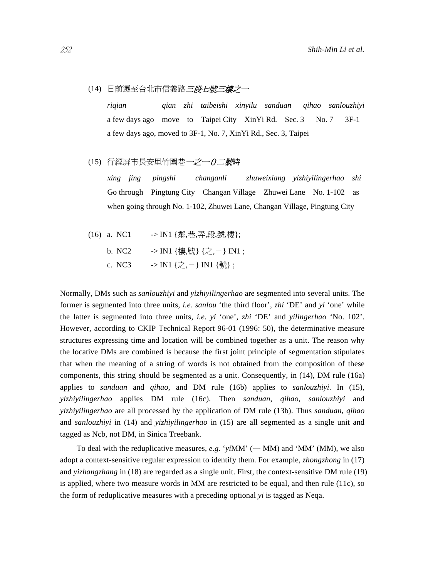#### (14) 日前遷至台北市信義路*三段七號三樓之一*

*riqian qian zhi taibeishi xinyilu sanduan qihao sanlouzhiyi*  a few days ago move to Taipei City XinYi Rd. Sec. 3 No. 7 3F-1 a few days ago, moved to 3F-1, No. 7, XinYi Rd., Sec. 3, Taipei

#### (15) 行經屏市長安里竹圍巷一之一 $0$ 二號時

*xing jing pingshi changanli zhuweixiang yizhiyilingerhao shi*  Go through Pingtung City Changan Village Zhuwei Lane No. 1-102 as when going through No. 1-102, Zhuwei Lane, Changan Village, Pingtung City

- (16) a. NC1 -> IN1 {鄰,巷,弄,段,號,樓};
	- b. NC2  $\longrightarrow$  IN1 {樓,號} {之,-} IN1;
	- c. NC3  $\longrightarrow$  IN1 {之,-} IN1 {號};

Normally, DMs such as *sanlouzhiyi* and *yizhiyilingerhao* are segmented into several units. The former is segmented into three units, *i.e. sanlou* 'the third floor', *zhi* 'DE' and *yi* 'one' while the latter is segmented into three units, *i.e*. *yi* 'one', *zhi* 'DE' and *yilingerhao* 'No. 102'. However, according to CKIP Technical Report 96-01 (1996: 50), the determinative measure structures expressing time and location will be combined together as a unit. The reason why the locative DMs are combined is because the first joint principle of segmentation stipulates that when the meaning of a string of words is not obtained from the composition of these components, this string should be segmented as a unit. Consequently, in (14), DM rule (16a) applies to *sanduan* and *qihao*, and DM rule (16b) applies to *sanlouzhiyi*. In (15), *yizhiyilingerhao* applies DM rule (16c). Then *sanduan*, *qihao*, *sanlouzhiyi* and *yizhiyilingerhao* are all processed by the application of DM rule (13b). Thus *sanduan*, *qihao*  and *sanlouzhiyi* in (14) and *yizhiyilingerhao* in (15) are all segmented as a single unit and tagged as Ncb, not DM, in Sinica Treebank.

To deal with the reduplicative measures, *e.g.* '*yi*MM' ( $-MM$ ) and 'MM' ( $MM$ ), we also adopt a context-sensitive regular expression to identify them. For example, *zhongzhong* in (17) and *yizhangzhang* in (18) are regarded as a single unit. First, the context-sensitive DM rule (19) is applied, where two measure words in MM are restricted to be equal, and then rule (11c), so the form of reduplicative measures with a preceding optional *yi* is tagged as Neqa.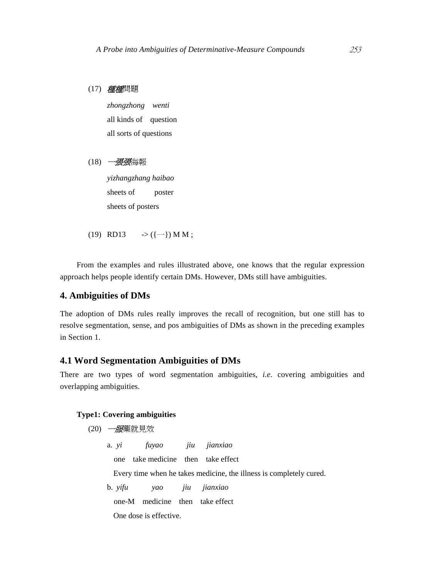(17) 種種問題

*zhongzhong wenti*  all kinds of question all sorts of questions

#### (18) 一*張張*海報

*yizhangzhang haibao*  sheets of poster sheets of posters

(19) RD13  $\rightarrow$  ({-}) M M;

From the examples and rules illustrated above, one knows that the regular expression approach helps people identify certain DMs. However, DMs still have ambiguities.

# **4. Ambiguities of DMs**

The adoption of DMs rules really improves the recall of recognition, but one still has to resolve segmentation, sense, and pos ambiguities of DMs as shown in the preceding examples in Section 1.

# **4.1 Word Segmentation Ambiguities of DMs**

There are two types of word segmentation ambiguities, *i.e*. covering ambiguities and overlapping ambiguities.

#### **Type1: Covering ambiguities**

(20) 一服藥就見效

a. *yi fuyao jiu jianxiao*

one take medicine then take effect

Every time when he takes medicine, the illness is completely cured.

b. *yifu yao jiu jianxiao*

one-M medicine then take effect

One dose is effective.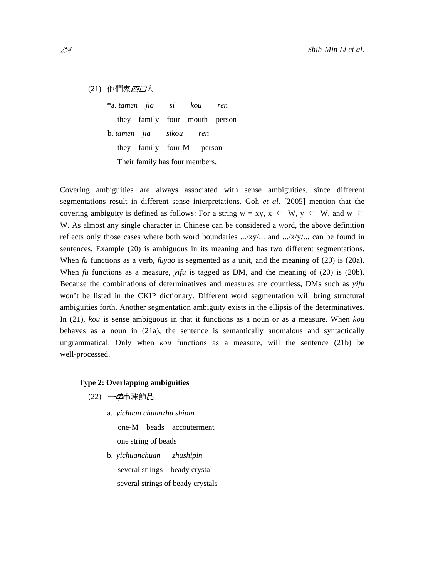(21) 他們家四口人

\*a. *tamen jia si kou ren* they family four mouth person b. *tamen jia sikou ren*  they family four-M person Their family has four members.

Covering ambiguities are always associated with sense ambiguities, since different segmentations result in different sense interpretations. Goh *et al*. [2005] mention that the covering ambiguity is defined as follows: For a string  $w = xy$ ,  $x \in W$ ,  $y \in W$ , and  $w \in$ W. As almost any single character in Chinese can be considered a word, the above definition reflects only those cases where both word boundaries .../xy/... and .../x/y/... can be found in sentences. Example (20) is ambiguous in its meaning and has two different segmentations. When *fu* functions as a verb, *fuyao* is segmented as a unit, and the meaning of (20) is (20a). When *fu* functions as a measure, *yifu* is tagged as DM, and the meaning of (20) is (20b). Because the combinations of determinatives and measures are countless, DMs such as *yifu* won't be listed in the CKIP dictionary. Different word segmentation will bring structural ambiguities forth. Another segmentation ambiguity exists in the ellipsis of the determinatives. In (21), *kou* is sense ambiguous in that it functions as a noun or as a measure. When *kou* behaves as a noun in (21a), the sentence is semantically anomalous and syntactically ungrammatical. Only when *kou* functions as a measure, will the sentence (21b) be well-processed.

#### **Type 2: Overlapping ambiguities**

(22) 一串串珠飾品

- a. *yichuan chuanzhu shipin* one-M beads accouterment one string of beads
- b. *yichuanchuan zhushipin* several strings beady crystal several strings of beady crystals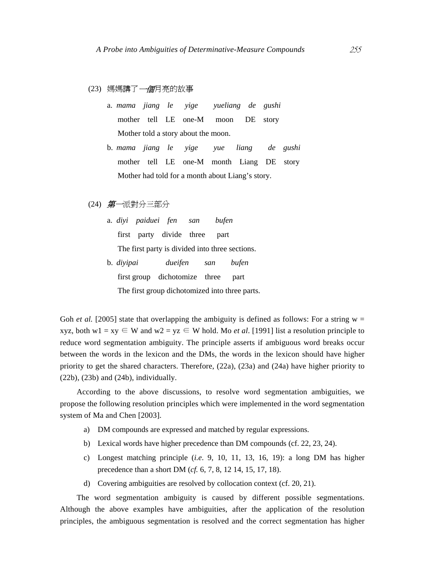#### (23) 媽媽講了一個月亮的故事

- a. *mama jiang le yige yueliang de gushi* mother tell LE one-M moon DE story Mother told a story about the moon.
- b. *mama jiang le yige yue liang de gushi* mother tell LE one-M month Liang DE story Mother had told for a month about Liang's story.
- (24) 第一派對分三部分

# a. *diyi paiduei fen san bufen* first party divide three part The first party is divided into three sections. b. *diyipai dueifen san bufen*

first group dichotomize three part The first group dichotomized into three parts.

Goh *et al.* [2005] state that overlapping the ambiguity is defined as follows: For a string  $w =$ xyz, both w1 = xy  $\in$  W and w2 = yz  $\in$  W hold. Mo *et al.* [1991] list a resolution principle to reduce word segmentation ambiguity. The principle asserts if ambiguous word breaks occur between the words in the lexicon and the DMs, the words in the lexicon should have higher priority to get the shared characters. Therefore, (22a), (23a) and (24a) have higher priority to  $(22b)$ ,  $(23b)$  and  $(24b)$ , individually.

According to the above discussions, to resolve word segmentation ambiguities, we propose the following resolution principles which were implemented in the word segmentation system of Ma and Chen [2003].

- a) DM compounds are expressed and matched by regular expressions.
- b) Lexical words have higher precedence than DM compounds (cf. 22, 23, 24).
- c) Longest matching principle (*i.e*. 9, 10, 11, 13, 16, 19): a long DM has higher precedence than a short DM (*cf.* 6, 7, 8, 12 14, 15, 17, 18).
- d) Covering ambiguities are resolved by collocation context (cf. 20, 21).

The word segmentation ambiguity is caused by different possible segmentations. Although the above examples have ambiguities, after the application of the resolution principles, the ambiguous segmentation is resolved and the correct segmentation has higher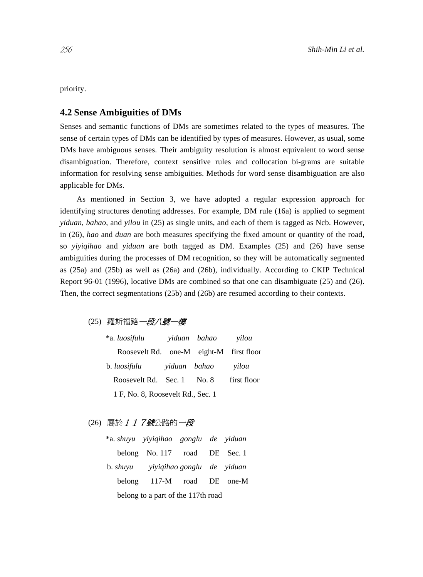priority.

# **4.2 Sense Ambiguities of DMs**

Senses and semantic functions of DMs are sometimes related to the types of measures. The sense of certain types of DMs can be identified by types of measures. However, as usual, some DMs have ambiguous senses. Their ambiguity resolution is almost equivalent to word sense disambiguation. Therefore, context sensitive rules and collocation bi-grams are suitable information for resolving sense ambiguities. Methods for word sense disambiguation are also applicable for DMs.

As mentioned in Section 3, we have adopted a regular expression approach for identifying structures denoting addresses. For example, DM rule (16a) is applied to segment *yiduan*, *bahao*, and *yilou* in (25) as single units, and each of them is tagged as Ncb. However, in (26), *hao* and *duan* are both measures specifying the fixed amount or quantity of the road, so *yiyiqihao* and *yiduan* are both tagged as DM. Examples (25) and (26) have sense ambiguities during the processes of DM recognition, so they will be automatically segmented as (25a) and (25b) as well as (26a) and (26b), individually. According to CKIP Technical Report 96-01 (1996), locative DMs are combined so that one can disambiguate (25) and (26). Then, the correct segmentations (25b) and (26b) are resumed according to their contexts.

(25) 羅斯福路一段八號一模

| *a. luosifulu                           |              | yiduan bahao | vilou       |
|-----------------------------------------|--------------|--------------|-------------|
| Roosevelt Rd. one-M eight-M first floor |              |              |             |
| b. luosifulu                            | yiduan bahao |              | vilou       |
| Roosevelt Rd. Sec. 1 No. 8              |              |              | first floor |
| 1 F, No. 8, Roosevelt Rd., Sec. 1       |              |              |             |

# (26) 屬於 1 1 7號公路的一段

|  | *a. shuyu yiyiqihao gonglu de yiduan |  |  |
|--|--------------------------------------|--|--|
|  | belong No. 117 road DE Sec. 1        |  |  |
|  | b. shuyu yiyiqihao gonglu de yiduan  |  |  |
|  | belong 117-M road DE one-M           |  |  |
|  | belong to a part of the 117th road   |  |  |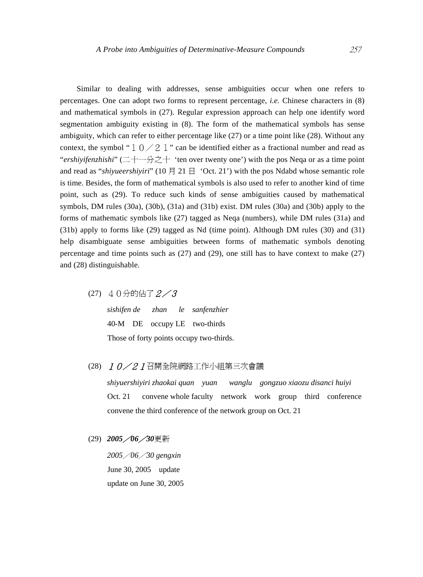Similar to dealing with addresses, sense ambiguities occur when one refers to percentages. One can adopt two forms to represent percentage, *i.e.* Chinese characters in (8) and mathematical symbols in (27). Regular expression approach can help one identify word segmentation ambiguity existing in (8). The form of the mathematical symbols has sense ambiguity, which can refer to either percentage like (27) or a time point like (28). Without any context, the symbol " $10/21$ " can be identified either as a fractional number and read as "*ershiyifenzhishi*" (二十一分之十 'ten over twenty one') with the pos Neqa or as a time point and read as "*shiyueershiyiri*" (10  $\sharp$  21  $\sharp$  'Oct. 21') with the pos Ndabd whose semantic role is time. Besides, the form of mathematical symbols is also used to refer to another kind of time point, such as (29). To reduce such kinds of sense ambiguities caused by mathematical symbols, DM rules (30a), (30b), (31a) and (31b) exist. DM rules (30a) and (30b) apply to the forms of mathematic symbols like (27) tagged as Neqa (numbers), while DM rules (31a) and (31b) apply to forms like (29) tagged as Nd (time point). Although DM rules (30) and (31) help disambiguate sense ambiguities between forms of mathematic symbols denoting percentage and time points such as (27) and (29), one still has to have context to make (27) and (28) distinguishable.

(27) 40分的佔了2/3

|  |  | sishifen de zhan le sanfenzhier          |
|--|--|------------------------------------------|
|  |  | 40-M DE occupy LE two-thirds             |
|  |  | Those of forty points occupy two-thirds. |

(28) 10/21召開全院網路工作小組第三次會議

*shiyuershiyiri zhaokai quan yuan wanglu gongzuo xiaozu disanci huiyi*  Oct. 21 convene whole faculty network work group third conference convene the third conference of the network group on Oct. 21

(29) *2005*/*06*/*30*更新

*2005*/*06*/*30 gengxin*  June 30, 2005 update update on June 30, 2005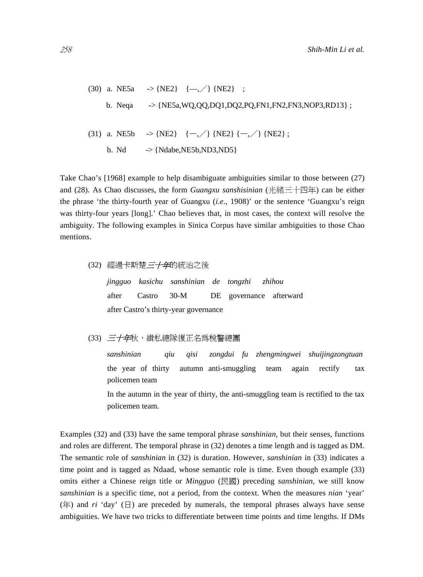(30) a. NE5a 
$$
\rightarrow
$$
 {NE2} { $\left\{ -,\right\}$  {NE2} ;  
b. Neqa  $\rightarrow$  {NE5a, WQ,QQ,DQ1,DQ2,PQ,FN1,FN2,FN3,NOP3,RD13} ;  
(31) a. NE5b  $\rightarrow$  {NE2} { $\left\{ -,\right\}$  {NE2} { $\left\{ -,\right\}$  {NE2} ;  
b. Nd  $\rightarrow$  {Ndabe,NE5b,ND3,ND5}

Take Chao's [1968] example to help disambiguate ambiguities similar to those between (27) and (28). As Chao discusses, the form *Guangxu sanshisinian* (光緒三十四年) can be either the phrase 'the thirty-fourth year of Guangxu (*i.e*., 1908)' or the sentence 'Guangxu's reign was thirty-four years [long].' Chao believes that, in most cases, the context will resolve the ambiguity. The following examples in Sinica Corpus have similar ambiguities to those Chao mentions.

(32) 經過卡斯楚三十年的統治之後

*jingguo kasichu sanshinian de tongzhi zhihou*  after Castro 30-M DE governance afterward after Castro's thirty-year governance

(33) *三十年*秋,緝私總隊復正名爲稅警總團

*sanshinian qiu qisi zongdui fu zhengmingwei shuijingzongtuan*  the year of thirty autumn anti-smuggling team again rectify tax policemen team

In the autumn in the year of thirty, the anti-smuggling team is rectified to the tax policemen team.

Examples (32) and (33) have the same temporal phrase *sanshinian*, but their senses, functions and roles are different. The temporal phrase in (32) denotes a time length and is tagged as DM. The semantic role of *sanshinian* in (32) is duration. However, *sanshinian* in (33) indicates a time point and is tagged as Ndaad, whose semantic role is time. Even though example (33) omits either a Chinese reign title or *Mingguo* (民國) preceding *sanshinian*, we still know *sanshinian* is a specific time, not a period, from the context. When the measures *nian* 'year' (年) and *ri* 'day' ( $\Box$ ) are preceded by numerals, the temporal phrases always have sense ambiguities. We have two tricks to differentiate between time points and time lengths. If DMs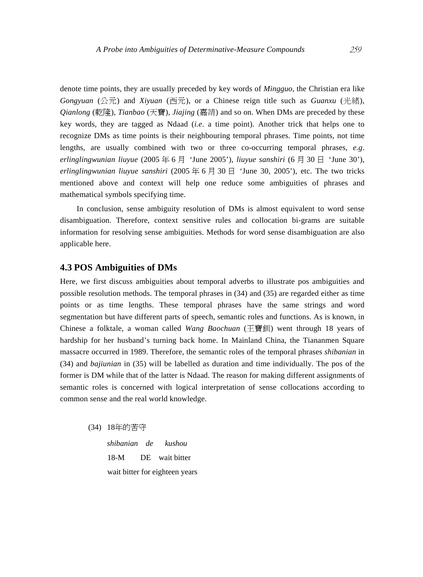denote time points, they are usually preceded by key words of *Mingguo*, the Christian era like *Gongyuan* (公元) and *Xiyuan* (西元), or a Chinese reign title such as *Guanxu* (光緒), *Qianlong* (乾隆), *Tianbao* (天寶), *Jiajing* (嘉靖) and so on. When DMs are preceded by these key words, they are tagged as Ndaad (*i.e*. a time point). Another trick that helps one to recognize DMs as time points is their neighbouring temporal phrases. Time points, not time lengths, are usually combined with two or three co-occurring temporal phrases, *e.g*. *erlinglingwunian liuyue* (2005 年 6 月 'June 2005'), *liuyue sanshiri* (6 月 30 日 'June 30'), *erlinglingwunian liuyue sanshiri* (2005 年 6 月 30 日 'June 30, 2005'), etc. The two tricks mentioned above and context will help one reduce some ambiguities of phrases and mathematical symbols specifying time.

In conclusion, sense ambiguity resolution of DMs is almost equivalent to word sense disambiguation. Therefore, context sensitive rules and collocation bi-grams are suitable information for resolving sense ambiguities. Methods for word sense disambiguation are also applicable here.

#### **4.3 POS Ambiguities of DMs**

Here, we first discuss ambiguities about temporal adverbs to illustrate pos ambiguities and possible resolution methods. The temporal phrases in (34) and (35) are regarded either as time points or as time lengths. These temporal phrases have the same strings and word segmentation but have different parts of speech, semantic roles and functions. As is known, in Chinese a folktale, a woman called *Wang Baochuan* (王寶釧) went through 18 years of hardship for her husband's turning back home. In Mainland China, the Tiananmen Square massacre occurred in 1989. Therefore, the semantic roles of the temporal phrases *shibanian* in (34) and *bajiunian* in (35) will be labelled as duration and time individually. The pos of the former is DM while that of the latter is Ndaad. The reason for making different assignments of semantic roles is concerned with logical interpretation of sense collocations according to common sense and the real world knowledge.

(34) 18年的苦守

*shibanian de kushou*  18-M DE wait bitter wait bitter for eighteen years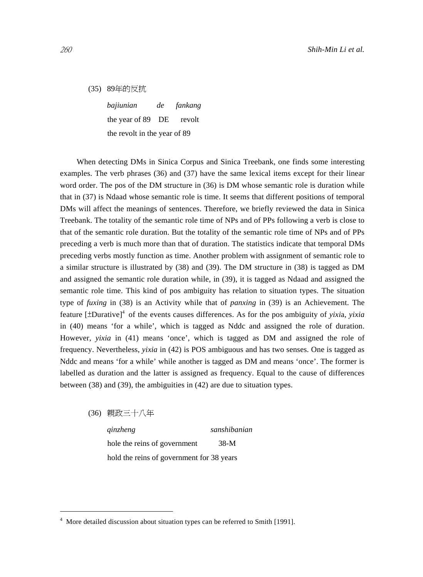(35) 89年的反抗

*bajiunian de fankang*  the year of 89 DE revolt the revolt in the year of 89

When detecting DMs in Sinica Corpus and Sinica Treebank, one finds some interesting examples. The verb phrases (36) and (37) have the same lexical items except for their linear word order. The pos of the DM structure in (36) is DM whose semantic role is duration while that in (37) is Ndaad whose semantic role is time. It seems that different positions of temporal DMs will affect the meanings of sentences. Therefore, we briefly reviewed the data in Sinica Treebank. The totality of the semantic role time of NPs and of PPs following a verb is close to that of the semantic role duration. But the totality of the semantic role time of NPs and of PPs preceding a verb is much more than that of duration. The statistics indicate that temporal DMs preceding verbs mostly function as time. Another problem with assignment of semantic role to a similar structure is illustrated by (38) and (39). The DM structure in (38) is tagged as DM and assigned the semantic role duration while, in (39), it is tagged as Ndaad and assigned the semantic role time. This kind of pos ambiguity has relation to situation types. The situation type of *fuxing* in (38) is an Activity while that of *panxing* in (39) is an Achievement. The feature [±Durative]<sup>4</sup> of the events causes differences. As for the pos ambiguity of *yixia*, *yixia* in (40) means 'for a while', which is tagged as Nddc and assigned the role of duration. However, *yixia* in (41) means 'once', which is tagged as DM and assigned the role of frequency. Nevertheless, *yixia* in (42) is POS ambiguous and has two senses. One is tagged as Nddc and means 'for a while' while another is tagged as DM and means 'once'. The former is labelled as duration and the latter is assigned as frequency. Equal to the cause of differences between (38) and (39), the ambiguities in (42) are due to situation types.

(36) 親政三十八年 *qinzheng sanshibanian*  hole the reins of government 38-M hold the reins of government for 38 years

 $\overline{a}$ 

<sup>4</sup> More detailed discussion about situation types can be referred to Smith [1991].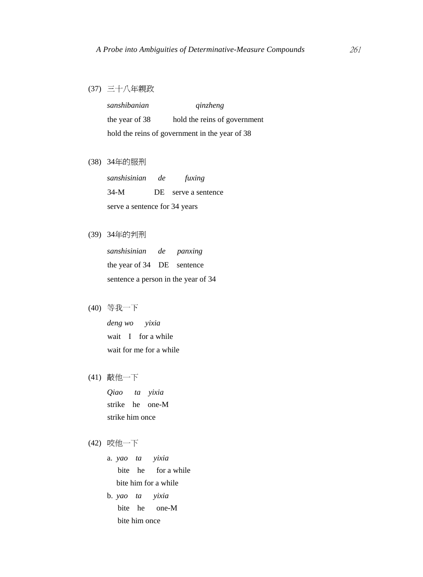(37) 三十八年親政

*sanshibanian qinzheng*  the year of 38 hold the reins of government hold the reins of government in the year of 38

(38) 34年的服刑

| sanshisinian                  | <sub>de</sub> | fuxing              |
|-------------------------------|---------------|---------------------|
| 34-M                          |               | DE serve a sentence |
| serve a sentence for 34 years |               |                     |

(39) 34年的判刑

| sanshisinian de panxing             |  |  |  |  |
|-------------------------------------|--|--|--|--|
| the year of 34 DE sentence          |  |  |  |  |
| sentence a person in the year of 34 |  |  |  |  |

(40) 等我一下

*deng wo yixia*  wait I for a while wait for me for a while

(41) 敲他一下

*Qiao ta yixia*  strike he one-M strike him once

- (42) 咬他一下
	- a. *yao ta yixia* bite he for a while bite him for a while
	- b. *yao ta yixia* bite he one-M bite him once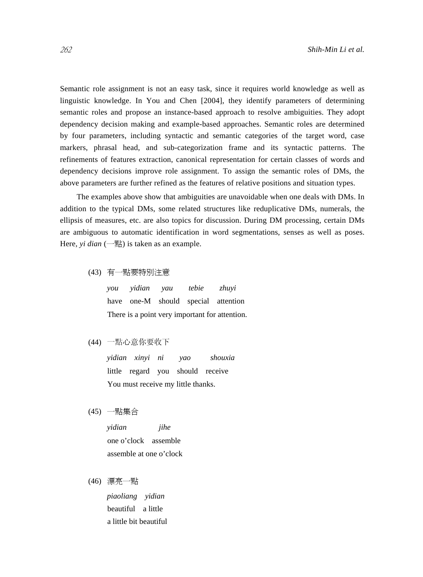Semantic role assignment is not an easy task, since it requires world knowledge as well as linguistic knowledge. In You and Chen [2004], they identify parameters of determining semantic roles and propose an instance-based approach to resolve ambiguities. They adopt dependency decision making and example-based approaches. Semantic roles are determined by four parameters, including syntactic and semantic categories of the target word, case markers, phrasal head, and sub-categorization frame and its syntactic patterns. The refinements of features extraction, canonical representation for certain classes of words and dependency decisions improve role assignment. To assign the semantic roles of DMs, the above parameters are further refined as the features of relative positions and situation types.

The examples above show that ambiguities are unavoidable when one deals with DMs. In addition to the typical DMs, some related structures like reduplicative DMs, numerals, the ellipsis of measures, etc. are also topics for discussion. During DM processing, certain DMs are ambiguous to automatic identification in word segmentations, senses as well as poses. Here, *yi dian*  $\left(-\frac{m}{2}\right)$  is taken as an example.

(43) 有一點要特別注意

*you yidian yau tebie zhuyi*  have one-M should special attention There is a point very important for attention.

(44) 一點心意你要收下

*yidian xinyi ni yao shouxia*  little regard you should receive You must receive my little thanks.

(45) 一點集合

*yidian jihe*  one o'clock assemble assemble at one o'clock

(46) 漂亮一點

*piaoliang yidian*  beautiful a little a little bit beautiful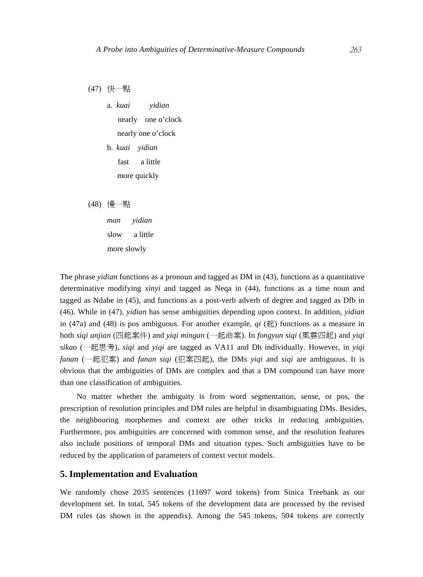(47) 快一點

a. *kuai yidian* nearly one o'clock nearly one o'clock

b. *kuai yidian* fast a little more quickly

(48) 慢一點

*man yidian*  slow a little more slowly

The phrase *yidian* functions as a pronoun and tagged as DM in (43), functions as a quantitative determinative modifying *xinyi* and tagged as Neqa in (44), functions as a time noun and tagged as Ndabe in (45), and functions as a post-verb adverb of degree and tagged as Dfb in (46). While in (47), *yidian* has sense ambiguities depending upon context. In addition, *yidian* in (47a) and (48) is pos ambiguous. For another example,  $qi$  ( $\#$ ) functions as a measure in both *siqi anjian* (四起案件) and *yiqi mingan* (一起命案). In *fongyun siqi* (風雲四起) and *yiqi sikao* (一起思考), *siqi* and *yiqi* are tagged as VA11 and Dh individually. However, in *yiqi fanan* (一起犯案) and *fanan siqi* (犯案四起), the DMs *yiqi* and *siqi* are ambiguous. It is obvious that the ambiguities of DMs are complex and that a DM compound can have more than one classification of ambiguities.

No matter whether the ambiguity is from word segmentation, sense, or pos, the prescription of resolution principles and DM rules are helpful in disambiguating DMs. Besides, the neighbouring morphemes and context are other tricks in reducing ambiguities. Furthermore, pos ambiguities are concerned with common sense, and the resolution features also include positions of temporal DMs and situation types. Such ambiguities have to be reduced by the application of parameters of context vector models.

# **5. Implementation and Evaluation**

We randomly chose 2035 sentences (11697 word tokens) from Sinica Treebank as our development set. In total, 545 tokens of the development data are processed by the revised DM rules (as shown in the appendix). Among the 545 tokens, 504 tokens are correctly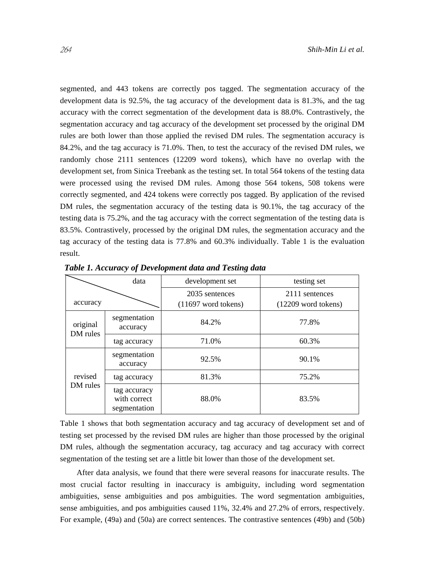segmented, and 443 tokens are correctly pos tagged. The segmentation accuracy of the development data is 92.5%, the tag accuracy of the development data is 81.3%, and the tag accuracy with the correct segmentation of the development data is 88.0%. Contrastively, the segmentation accuracy and tag accuracy of the development set processed by the original DM rules are both lower than those applied the revised DM rules. The segmentation accuracy is 84.2%, and the tag accuracy is 71.0%. Then, to test the accuracy of the revised DM rules, we randomly chose 2111 sentences (12209 word tokens), which have no overlap with the development set, from Sinica Treebank as the testing set. In total 564 tokens of the testing data were processed using the revised DM rules. Among those 564 tokens, 508 tokens were correctly segmented, and 424 tokens were correctly pos tagged. By application of the revised DM rules, the segmentation accuracy of the testing data is 90.1%, the tag accuracy of the testing data is 75.2%, and the tag accuracy with the correct segmentation of the testing data is 83.5%. Contrastively, processed by the original DM rules, the segmentation accuracy and the tag accuracy of the testing data is 77.8% and 60.3% individually. Table 1 is the evaluation result.

|                      | data                                         | development set                                 | testing set                                     |
|----------------------|----------------------------------------------|-------------------------------------------------|-------------------------------------------------|
| accuracy             |                                              | 2035 sentences<br>$(11697 \text{ word tokens})$ | 2111 sentences<br>$(12209 \text{ word tokens})$ |
| original<br>DM rules | segmentation<br>accuracy                     | 84.2%                                           | 77.8%                                           |
|                      | tag accuracy                                 | 71.0%                                           | 60.3%                                           |
|                      | segmentation<br>accuracy                     | 92.5%                                           | 90.1%                                           |
| revised              | tag accuracy                                 | 81.3%                                           | 75.2%                                           |
| DM rules             | tag accuracy<br>with correct<br>segmentation | 88.0%                                           | 83.5%                                           |

*Table 1. Accuracy of Development data and Testing data*

Table 1 shows that both segmentation accuracy and tag accuracy of development set and of testing set processed by the revised DM rules are higher than those processed by the original DM rules, although the segmentation accuracy, tag accuracy and tag accuracy with correct segmentation of the testing set are a little bit lower than those of the development set.

After data analysis, we found that there were several reasons for inaccurate results. The most crucial factor resulting in inaccuracy is ambiguity, including word segmentation ambiguities, sense ambiguities and pos ambiguities. The word segmentation ambiguities, sense ambiguities, and pos ambiguities caused 11%, 32.4% and 27.2% of errors, respectively. For example, (49a) and (50a) are correct sentences. The contrastive sentences (49b) and (50b)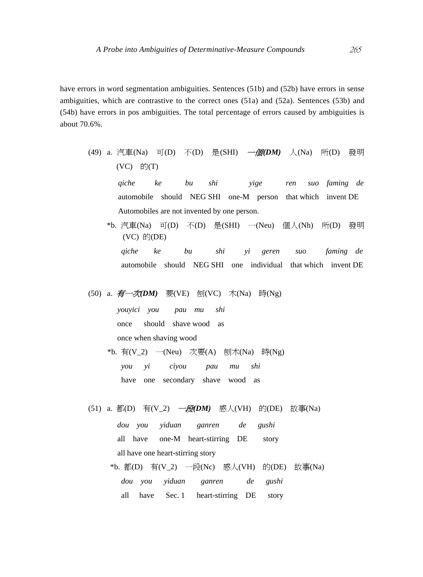have errors in word segmentation ambiguities. Sentences (51b) and (52b) have errors in sense ambiguities, which are contrastive to the correct ones (51a) and (52a). Sentences (53b) and (54b) have errors in pos ambiguities. The total percentage of errors caused by ambiguities is about 70.6%.

(49) a. 汽車(Na) 可(D) 不(D) 是(SHI) 一個*(DM)* 人(Na) 所(D) 發明 (VC) 的(T) *qiche ke bu shi yige ren suo faming de*  automobile should NEG SHI one-M person that which invent DE

Automobiles are not invented by one person.

 \*b. 汽車(Na) 可(D) 不(D) 是(SHI) 一(Neu) 個人(Nh) 所(D) 發明  $(VC)$   $f(j(DE))$ 

 *qiche ke bu shi yi geren suo faming de*  automobile should NEG SHI one individual that which invent DE

# (50) a. 有一次*(DM)* 要(VE) 刨(VC) 木(Na) 時(Ng)

 *youyici you pau mu shi*  once should shave wood as once when shaving wood

- \*b. 有(V\_2) 一(Neu) 次要(A) 刨木(Na) 時(Ng) *you yi ciyou pau mu shi*  have one secondary shave wood as
	- (51) a. 都(D) 有(V\_2) 一段*(DM)* 感人(VH) 的(DE) 故事(Na) *dou you yiduan ganren de gushi*  all have one-M heart-stirring DE story all have one heart-stirring story
		- \*b. 都(D) 有(V\_2) 一段(Nc) 感人(VH) 的(DE) 故事(Na) *dou you yiduan ganren de gushi*  all have Sec. 1 heart-stirring DE story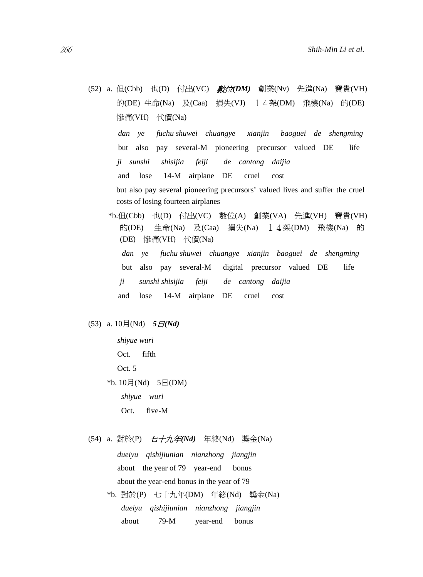(52) a. 但(Cbb) 也(D) 付出(VC) 數位*(DM)* 創業(Nv) 先進(Na) 寶貴(VH) 的(DE) 生命(Na) 及(Caa) 損失(VJ) 14架(DM) 飛機(Na) 的(DE) 慘痛(VH) 代價(Na)

 *dan ye fuchu shuwei chuangye xianjin baoguei de shengming*  but also pay several-M pioneering precursor valued DE life  *ji sunshi shisijia feiji de cantong daijia*  and lose 14-M airplane DE cruel cost but also pay several pioneering precursors' valued lives and suffer the cruel

costs of losing fourteen airplanes

 \*b.但(Cbb) 也(D) 付出(VC) 數位(A) 創業(VA) 先進(VH) 寶貴(VH) 的(DE) 生命(Na) 及(Caa) 損失(Na) 14架(DM) 飛機(Na) 的 (DE) 慘痛(VH) 代價(Na) *dan ye fuchu shuwei chuangye xianjin baoguei de shengming*  but also pay several-M digital precursor valued DE life *ji sunshi shisijia feiji de cantong daijia*  and lose 14-M airplane DE cruel cost

## $(53)$  a.  $10\frac{1}{3}$  (Nd)  $5\frac{1}{6}$  (Nd)

 *shiyue wuri*  Oct. fifth Oct. 5 \*b.  $10 \overline{f}$ (Nd)  $5 \overline{f}$ (DM) *shiyue wuri* Oct. five-M

(54) a. 對於(P) 七十九年*(Nd)* 年終(Nd) 獎金(Na)

 *dueiyu qishijiunian nianzhong jiangjin*  about the year of 79 year-end bonus about the year-end bonus in the year of 79

\*b. 對於(P) 七十九年(DM) 年終(Nd) 獎金(Na) *dueiyu qishijiunian nianzhong jiangjin*  about 79-M year-end bonus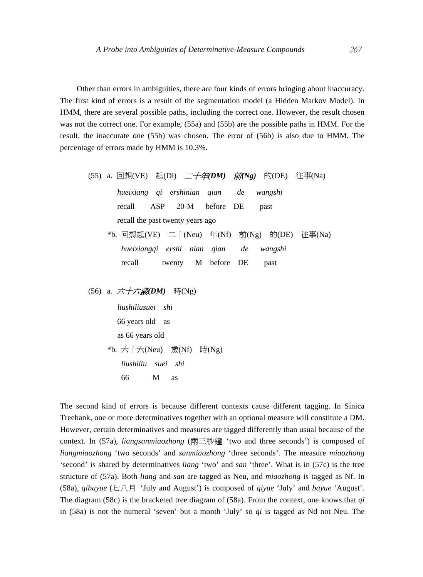Other than errors in ambiguities, there are four kinds of errors bringing about inaccuracy. The first kind of errors is a result of the segmentation model (a Hidden Markov Model). In HMM, there are several possible paths, including the correct one. However, the result chosen was not the correct one. For example, (55a) and (55b) are the possible paths in HMM. For the result, the inaccurate one (55b) was chosen. The error of (56b) is also due to HMM. The percentage of errors made by HMM is 10.3%.

\n- (55) a. 
$$
\Box \text{[t]}(VE)
$$
  #(Di)  #(Di)  #(Di)  #(Di)  #(Di)  #(Di)  #(Di)  #(Di)  #(Di)  #(Di)  #(Di)  #(Di)  #(Di)  #(Di)  #(Di)  #(Di)  #(Di)  #(Di)  #(Di)  #(Di)  #(Di)  #(Di)  #(Di)  #(Di)  #(Di)  #(Di)  #(Di)  #(Di)  #(Di)  #(Di)  #(Di)  #(Di)  #(Di)  #(Di)  #(Di)  #(Di)  #(Di)  #(Di)  #(Di)  #(Di)  #(Di)  #(Di)  #(Di)  #(Di)  #(Di)  #(Di)  #(Di)  #(Di)  #(Di)  #(Di)  #(Di)  #(Di)  #(Di)  #(Di)  #(Di)  #(Di)  #(Di)  #(Di)  #(Di)  #(Di)  #(Di)  #(Di)  #(Di)  #(Di)  #(Di)  #(Di)  #(Di)  #(Di)  #(Di)  #(Di)  #(Di)  #(Di)  #(Di)  #(Di)  #(Di)  #(Di)  #(Di)  #(Di)  #(Di)  #(Di)  #(Di)  #(Di)  #(Di)  #(Di)  #(Di)  #(Di)  #(Di)  #(Di)  #(Di)  #(Di)  #(Di)  #(Di)  #(Di)  #(Di)  #(Di)  #(Di)  #(Di)  #(Di)  #(Di)  #(Di)  #(Di)  #(Di)  #(Di)  #(Di)  #(Di)  #(Di)  #(Di)  #(Di)  #(Di)  #(Di)  #(Di)  #(Di)  #(Di)  #(Di)  #(Di)  #(Di)  #(Di)  #(Di)  #(Di)  #(Di)  #(Di)  #(Di)  #(

(56) a. 六十六歲*(DM)* 時(Ng)

 *liushiliusuei shi*  66 years old as as 66 years old \*b. 六十六(Neu) 歲(Nf) 時(Ng)  *liushiliu suei shi*  66 M as

The second kind of errors is because different contexts cause different tagging. In Sinica Treebank, one or more determinatives together with an optional measure will constitute a DM. However, certain determinatives and measures are tagged differently than usual because of the context. In (57a), *liangsanmiaozhong* (兩三秒鐘 'two and three seconds') is composed of *liangmiaozhong* 'two seconds' and *sanmiaozhong* 'three seconds'. The measure *miaozhong* 'second' is shared by determinatives *liang* 'two' and *san* 'three'. What is in (57c) is the tree structure of (57a). Both *liang* and *san* are tagged as Neu, and *miaozhong* is tagged as Nf. In (58a), *qibayue* (七八月 'July and August') is composed of *qiyue* 'July' and *bayue* 'August'. The diagram (58c) is the bracketed tree diagram of (58a). From the context, one knows that *qi* in (58a) is not the numeral 'seven' but a month 'July' so *qi* is tagged as Nd not Neu. The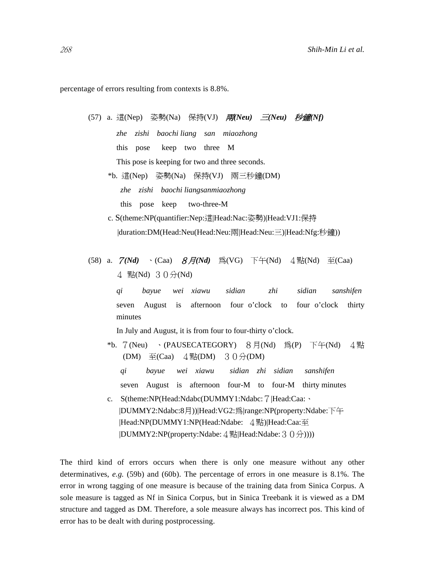percentage of errors resulting from contexts is 8.8%.

(57) a. 這(Nep) 姿勢(Na) 保持(VJ) 兩*(Neu)* 三*(Neu)* 秒鐘*(Nf) zhe zishi baochi liang san miaozhong*  this pose keep two three M This pose is keeping for two and three seconds. \*b. 這(Nep) 姿勢(Na) 保持(VJ) 兩三秒鐘(DM)  *zhe zishi baochi liangsanmiaozhong*  this pose keep two-three-M c. S(theme:NP(quantifier:Nep:這|Head:Nac:姿勢)|Head:VJ1:保持 |duration:DM(Head:Neu(Head:Neu:兩|Head:Neu:三)|Head:Nfg:秒鐘)) (58) a. 7*(Nd)* 、(Caa) 8月*(Nd)* 為(VG) 下午(Nd) 4點(Nd) 至(Caa) 4 點(Nd) 30分(Nd) *qi bayue wei xiawu sidian zhi sidian sanshifen*  seven August is afternoon four o'clock to four o'clock thirty minutes In July and August, it is from four to four-thirty o'clock. \*b.  $7(Neu)$  (PAUSECATEGORY) 8月(Nd) 為(P) 下午(Nd) 4點 (DM)  $\Xi(Caa)$  4點(DM) 30分(DM) *qi bayue wei xiawu sidian zhi sidian sanshifen*  seven August is afternoon four-M to four-M thirty minutes

 c. S(theme:NP(Head:Ndabc(DUMMY1:Ndabc:7|Head:Caa:、 |DUMMY2:Ndabc:8月))|Head:VG2:為|range:NP(property:Ndabe:下午 |Head:NP(DUMMY1:NP(Head:Ndabe: 4點)|Head:Caa:至 |DUMMY2:NP(property:Ndabe:4點|Head:Ndabe:30分))))

The third kind of errors occurs when there is only one measure without any other determinatives, *e.g.* (59b) and (60b). The percentage of errors in one measure is 8.1%. The error in wrong tagging of one measure is because of the training data from Sinica Corpus. A sole measure is tagged as Nf in Sinica Corpus, but in Sinica Treebank it is viewed as a DM structure and tagged as DM. Therefore, a sole measure always has incorrect pos. This kind of error has to be dealt with during postprocessing.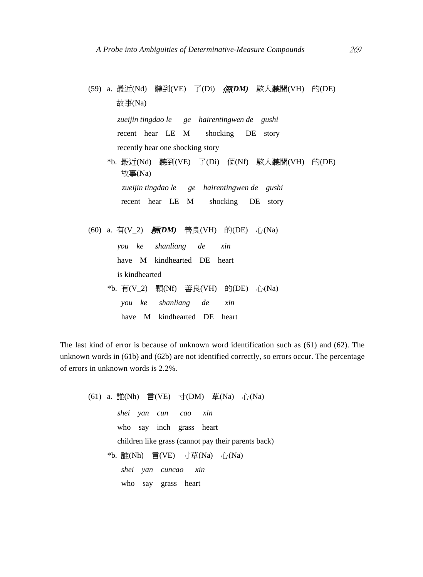```
(59) a. 最近(Nd) 聽到(VE) 了(Di) 個(DM) 駭人聽聞(VH) 的(DE)
      故事(Na) 
       zueijin tingdao le ge hairentingwen de gushi 
       recent hear LE M shocking DE story 
       recently hear one shocking story 
    *b. 最近(Nd) 聽到(VE) 了(Di) 個(Nf) 駭人聽聞(VH) 的(DE)
       故事(Na) 
         zueijin tingdao le ge hairentingwen de gushi 
        recent hear LE M shocking DE story 
(60) a. 有(V_2) 颗DM) 善良(VH) 的(DE) 心(Na)
       you ke shanliang de xin 
       have M kindhearted DE heart 
       is kindhearted 
    *b. 有(V_2) 顆(Nf) 善良(VH) 的(DE) 心(Na)
```
 *you ke shanliang de xin*  have M kindhearted DE heart

The last kind of error is because of unknown word identification such as (61) and (62). The unknown words in (61b) and (62b) are not identified correctly, so errors occur. The percentage of errors in unknown words is 2.2%.

\n- (61) a. 
$$
\exists f(WE) \exists (VE) \exists (NM) \exists (Na) \exists (Na)
$$
 *shei yan cun cao xin* who say inch grass heart children like grass (cannot pay their parents back)
\n- \*b.  $\exists f(WE) \exists (VE) \exists (Na) \exists (Na) \exists (Na)$  *shei yan cuncao xin* who say grass heart
\n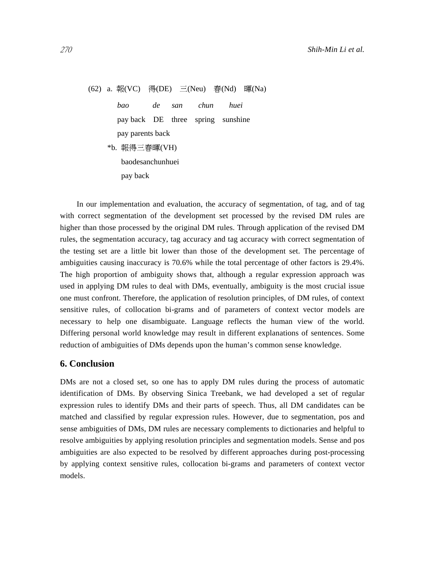(62) a. 報(VC) 得(DE) 三(Neu) 春(Nd) 暉(Na)  *bao de san chun huei*  pay back DE three spring sunshine pay parents back \*b. 報得三春暉(VH) baodesanchunhuei pay back

In our implementation and evaluation, the accuracy of segmentation, of tag, and of tag with correct segmentation of the development set processed by the revised DM rules are higher than those processed by the original DM rules. Through application of the revised DM rules, the segmentation accuracy, tag accuracy and tag accuracy with correct segmentation of the testing set are a little bit lower than those of the development set. The percentage of ambiguities causing inaccuracy is 70.6% while the total percentage of other factors is 29.4%. The high proportion of ambiguity shows that, although a regular expression approach was used in applying DM rules to deal with DMs, eventually, ambiguity is the most crucial issue one must confront. Therefore, the application of resolution principles, of DM rules, of context sensitive rules, of collocation bi-grams and of parameters of context vector models are necessary to help one disambiguate. Language reflects the human view of the world. Differing personal world knowledge may result in different explanations of sentences. Some reduction of ambiguities of DMs depends upon the human's common sense knowledge.

# **6. Conclusion**

DMs are not a closed set, so one has to apply DM rules during the process of automatic identification of DMs. By observing Sinica Treebank, we had developed a set of regular expression rules to identify DMs and their parts of speech. Thus, all DM candidates can be matched and classified by regular expression rules. However, due to segmentation, pos and sense ambiguities of DMs, DM rules are necessary complements to dictionaries and helpful to resolve ambiguities by applying resolution principles and segmentation models. Sense and pos ambiguities are also expected to be resolved by different approaches during post-processing by applying context sensitive rules, collocation bi-grams and parameters of context vector models.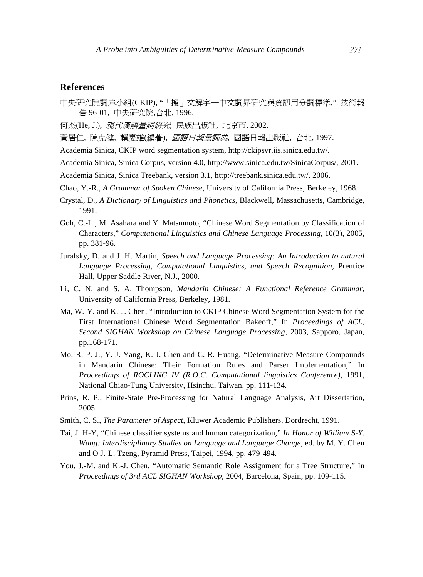# **References**

- 中央研究院詞庫小組(CKIP), "「搜」文解字一中文詞界研究與資訊用分詞標準,"技術報 告 96-01, 中央研究院,台北, 1996.
- 何杰(He, J.), *現代漢語量詞硏究*, 民族出版社, 北京市, 2002.
- 黃居仁, 陳克健, 賴慶雄(編著), 國語日報量詞典, 國語日報出版社, 台北, 1997.
- Academia Sinica, CKIP word segmentation system, http://ckipsvr.iis.sinica.edu.tw/.
- Academia Sinica, Sinica Corpus, version 4.0, http://www.sinica.edu.tw/SinicaCorpus/, 2001.
- Academia Sinica, Sinica Treebank, version 3.1, http://treebank.sinica.edu.tw/, 2006.
- Chao, Y.-R., *A Grammar of Spoken Chines*e, University of California Press, Berkeley, 1968.
- Crystal, D., *A Dictionary of Linguistics and Phonetics*, Blackwell, Massachusetts, Cambridge, 1991.
- Goh, C.-L., M. Asahara and Y. Matsumoto, "Chinese Word Segmentation by Classification of Characters," *Computational Linguistics and Chinese Language Processing*, 10(3), 2005, pp. 381-96.
- Jurafsky, D. and J. H. Martin, *Speech and Language Processing: An Introduction to natural Language Processing, Computational Linguistics, and Speech Recognition*, Prentice Hall, Upper Saddle River, N.J., 2000.
- Li, C. N. and S. A. Thompson, *Mandarin Chinese: A Functional Reference Grammar*, University of California Press, Berkeley, 1981.
- Ma, W.-Y. and K.-J. Chen, "Introduction to CKIP Chinese Word Segmentation System for the First International Chinese Word Segmentation Bakeoff," In *Proceedings of ACL, Second SIGHAN Workshop on Chinese Language Processing*, 2003, Sapporo, Japan, pp.168-171.
- Mo, R.-P. J., Y.-J. Yang, K.-J. Chen and C.-R. Huang, "Determinative-Measure Compounds in Mandarin Chinese: Their Formation Rules and Parser Implementation," In *Proceedings of ROCLING IV (R.O.C. Computational linguistics Conference)*, 1991, National Chiao-Tung University, Hsinchu, Taiwan, pp. 111-134.
- Prins, R. P., Finite-State Pre-Processing for Natural Language Analysis, Art Dissertation, 2005
- Smith, C. S., *The Parameter of Aspect*, Kluwer Academic Publishers, Dordrecht, 1991.
- Tai, J. H-Y, "Chinese classifier systems and human categorization," *In Honor of William S-Y. Wang: Interdisciplinary Studies on Language and Language Change*, ed. by M. Y. Chen and O J.-L. Tzeng, Pyramid Press, Taipei, 1994, pp. 479-494.
- You, J.-M. and K.-J. Chen, "Automatic Semantic Role Assignment for a Tree Structure," In *Proceedings of 3rd ACL SIGHAN Workshop*, 2004, Barcelona, Spain, pp. 109-115.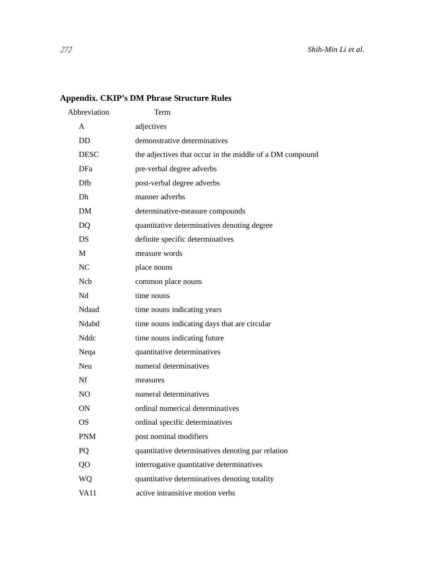# **Appendix. CKIP's DM Phrase Structure Rules**

| Abbreviation | Term                                                     |
|--------------|----------------------------------------------------------|
| A            | adjectives                                               |
| <b>DD</b>    | demonstrative determinatives                             |
| <b>DESC</b>  | the adjectives that occur in the middle of a DM compound |
| DFa          | pre-verbal degree adverbs                                |
| Dfb          | post-verbal degree adverbs                               |
| Dh.          | manner adverbs                                           |
| DM           | determinative-measure compounds                          |
| DQ           | quantitative determinatives denoting degree              |
| DS.          | definite specific determinatives                         |
| M            | measure words                                            |
| NC           | place nouns                                              |
| <b>Nch</b>   | common place nouns                                       |
| Nd           | time nouns                                               |
| Ndaad        | time nouns indicating years                              |
| Ndabd        | time nouns indicating days that are circular             |
| <b>Nddc</b>  | time nouns indicating future                             |
| Neqa         | quantitative determinatives                              |
| Neu          | numeral determinatives                                   |
| Nf           | measures                                                 |
| NO.          | numeral determinatives                                   |
| <b>ON</b>    | ordinal numerical determinatives                         |
| <b>OS</b>    | ordinal specific determinatives                          |
| <b>PNM</b>   | post nominal modifiers                                   |
| PQ           | quantitative determinatives denoting par relation        |
| QO           | interrogative quantitative determinatives                |
| WО           | quantitative determinatives denoting totality            |
| <b>VA11</b>  | active intransitive motion verbs                         |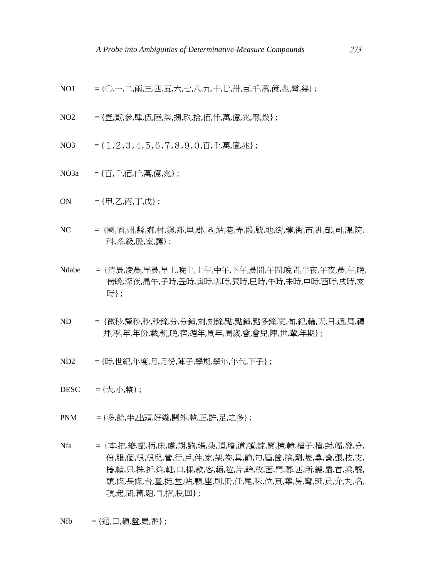NO1 = {○,一,二,兩,三,四,五,六,七,八,九,十,廿,卅,百,千,萬,億,兆,零,幾} ;

- NO2 = {壹,貳,參,肆,伍,陸,柒,捌,玖,拾,佰,仟,萬,億,兆,零,幾};
- NO3  $= \{1, 2, 3, 4, 5, 6, 7, 8, 9, 0, \overline{p}, \overline{f}, \overline{f}, \overline{f}, \overline{f}, \overline{f}\}$ ;
- NO3a = {百,千,佰,仟,萬,億,兆} ;
- $ON = {H, Z, \overline{R}, T, \overline{R}}$ ;
- NC = {國,省,州,縣,鄉,村,鎮,鄰,里,郡,區,站,巷,弄,段,號,地,街,樓,衖,市,洲,部,司,課,院, 科,系,級,股,室,廳} ;
- Ndabe = {清晨,凌晨,早晨,早上,晚上,上午,中午,下午,晨間,午間,晚間,半夜,午夜,晨,午,晚, 傍晚,深夜,晑午,子時,丑時,寅時,卯時,辰時,巳時,午時,未時,申時,酉時,戌時,亥 時} ;
- ND = {微秒,釐秒,秒,秒鐘,分,分鐘,刻,刻鐘,點,點鐘,點多鐘,更,旬,紀,輪,天,日,週,周,禮 拜,季,年,年份,載,號,晚,宿,週年,周年,周歲,會,會兒,陣,世,輩,年期} ;
- ND2 = {時,世紀,年度,月,月份,陣子,學期,學年,年代,下子} ;
- $DESC = \{\pm, \sqrt{1}, \underline{$ 整};
- PNM = {多,餘,半,出頭,好幾,開外,整,正,許,足,之多} ;
- Nfa = {本,把,瓣,部,柄,床,處,期,齣,場,朵,頂,堵,道,頓,錠,闋,棟,幢,檔子,檔,封,幅,發,分, 份,服,個,根,根兒,管,行,戶,件,家,架,卷,具,節,句,屆,箇,捲,劑,隻,尊,盞,張,枝,支, 樁,幀,只,株,折,炷,軸,口,棵,款,客,輛,粒,片,輪,枚,面,門,幕,匹,所,艘,扇,首,乘,襲, 頭,條,長條,台,臺,挺,堂,帖,顆,座,則,冊,任,尾,味,位,頁,葉,房,彎,班,員,介,丸,名, 項,起,間,篇,題,目,招,股,回} ;

 $Nfb = { 4\overline{H}, \Box, \overline{H}, \mathbb{R} \overline{H}, \overline{H} }$ ;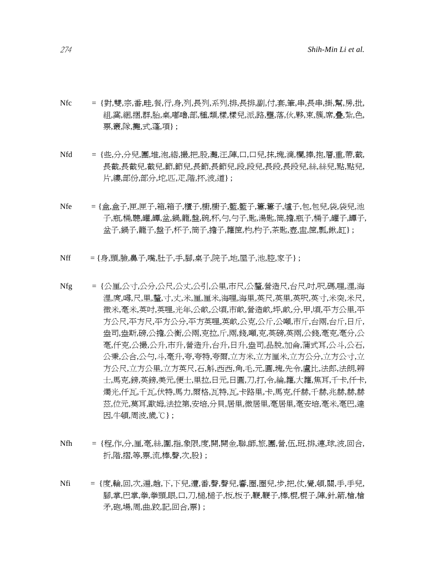274 *Shih-Min Li et al.* 

- Nfc = {對,雙,宗,番,畦,餐,行,身,列,長列,系列,排,長排,副,付,套,筆,串,長串,掛,幫,房,批, 組,窩,綑,捆,群,胎,桌,嘟嚕,部,種,類,樣,樣兒,派,路,壟,落,伙,夥,束,簇,席,疊,紮,色, 票,叢,隊,攤,式,蓬,項} ;
- Nfd = {些,分,分兒,團,堆,泡,綹,撮,把,股,灘,汪,陣,口,口兒,抹,塊,滴,欄,捧,抱,層,重,帶,截, 長截,長截兒,截兒,節,節兒,長節,長節兒,段,段兒,長段,長段兒,絲,絲兒,點,點兒, 片,縷,部份,部分,坨,匹,疋,階,抔,波,道} ;
- Nfe = {盒,盒子,匣,匣子,箱,箱子,櫃子,櫥,櫥子,籃,籃子,簍,簍子,爐子,包,包兒,袋,袋兒,池 子,瓶,桶,聽,罐,罈,盆,鍋,籠,盤,碗,杯,勺,勺子,匙,湯匙,筒,擔,瓶子,桶子,罐子,罈子, 盆子,鍋子,籠子,盤子,杯子,筒子,擔子,籮筐,杓,杓子,茶匙,壺,盅,筐,瓢,鍬,缸} ;
- Nff = {身,頭,臉,鼻子,嘴,肚子,手,腳,桌子,院子,地,屋子,池,腔,家子};
- Nfg = {公厘,公寸,公分,公尺,公丈,公引,公里,市尺,公釐,營造尺,台尺,吋,呎,碼,哩,浬,海 浬,庹,噚,尺,里,釐,寸,丈,米,厘,厘米,海哩,海里,英尺,英里,英呎,英寸,米突,米尺, 微米,毫米,英吋,英哩,光年,公畝,公頃,市畝,營造畝,坪,畝,分,甲,頃,平方公里,平 方公尺,平方尺,平方公分,平方英哩,英畝,公克,公斤,公噸,市斤,台兩,台斤,日斤, 盎司,盎斯,磅,公擔,公衡,公兩,克拉,斤,兩,錢,噸,克,英磅,英兩,公錢,毫克,毫分,公 毫,仟克,公撮,公升,市升,營造升,台升,日升,盎司,品脫,加侖,蒲式耳,公斗,公石, 公秉,公合,公勺,斗,毫升,夸,夸特,夸爾,立方米,立方厘米,立方公分,立方公寸,立 方公尺,立方公里,立方英尺,石,斛,西西,角,毛,元,圓,塊,先令,盧比,法郎,法朗,辨 士,馬克,鎊,英鎊,美元,便士,里拉,日元,日圓,刀,打,令,綸,籮,大籮,焦耳,千卡,仟卡, 燭光,仟瓦,千瓦,伏特,馬力,爾格,瓦特,瓦,卡路里,卡,馬克,仟赫,千赫,兆赫,赫,赫 茲,位元,莫耳,歐姆,法拉第,安培,分貝,居里,微居里,毫居里,毫安培,毫米,毫巴,達 因,牛頓,周波,歲,℃} ;
- Nfh = {程,作,分,厘,毫,絲,圍,指,象限,度,開,開金,聯,師,旅,團,營,伍,班,排,連,球,波,回合, 折,階,摺,等,票,流,棒,聲,次,股} ;
- Nfi = {度,輪,回,次,遍,趟,下,下兒,遭,番,聲,聲兒,響,圈,圈兒,步,把,仗,覺,頓,關,手,手兒, 腳,掌,巴掌,拳,拳頭,眼,口,刀,槌,槌子,板,板子,鞭,鞭子,棒,棍,棍子,陣,針,箭,槍,槍 矛,砲,場,周,曲,跤,記,回合,票} ;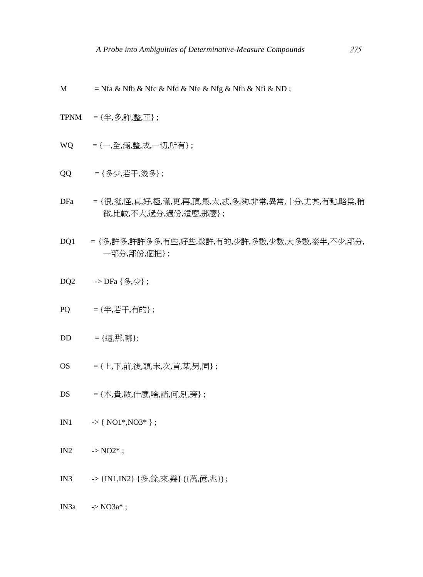- M = Nfa & Nfb & Nfc & Nfd & Nfe & Nfg & Nfh & Nfi & ND;
- $TPNM = {4, 3, 1} \, ;$
- $WO = \{-, +\}$ , 滿, 整, 成, 一切, 所有 };
- QQ = {多少,若干,幾多} ;
- DFa = {很,挺,怪,真,好,極,滿,更,再,頂,最,太,忒,多,夠,非常,異常,十分,尤其,有點,略為,稍 微,比較,不大,過分,過份,這麼,那麼} ;
- DQ1 = {多,許多,許許多多,有些,好些,幾許,有的,少許,多數,少數,大多數,泰半,不少,部分, 一部分,部份,個把} ;
- DQ2  $\rightarrow$  DFa {多,少};
- $PQ = {$   $\oplus$   $\oplus$   $\oplus$   $\oplus$   $\oplus$   $\oplus$   $\oplus$   $\oplus$   $\oplus$   $\oplus$   $\oplus$   $\oplus$   $\oplus$   $\oplus$   $\oplus$   $\oplus$   $\oplus$   $\oplus$   $\oplus$   $\oplus$   $\oplus$   $\oplus$   $\oplus$   $\oplus$   $\oplus$   $\oplus$   $\oplus$   $\oplus$   $\oplus$   $\oplus$   $\oplus$   $\oplus$   $\oplus$   $\oplus$   $\oplus$   $\opl$
- DD = {這,那,哪};
- $OS = \{ \pm, \pm, \hat{m}, \hat{\mathcal{B}}, \hat{m}, \pm, \hat{\mathcal{A}}, \hat{m}, \hat{\pi}, \pm, \frac{1}{2}, \overline{m} \};$
- DS = {本,貴,敝,什麼,啥,諸,何,別,旁} ;
- IN1  $\rightarrow$  { NO1\*, NO3\* };

IN2  $\cdot > NO2^*$ ;

IN3 -> {IN1,IN2} {多,餘,來,幾} ({萬,億,兆}) ;

IN3a  $\rightarrow$  NO3a\*;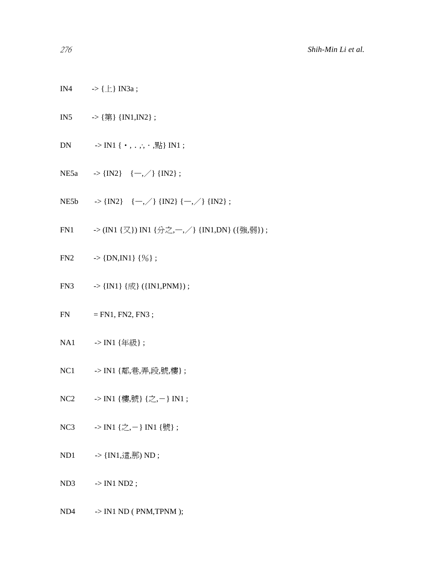- IN4  $\longrightarrow$  { $\perp$ } IN3a;
- IN5  $\rightarrow$  {第} {IN1,IN2};
- DN  $\rightarrow$  IN1 {  $\cdot$ , . ,  $\cdot$ ,  $\mathbb{R}$ } IN1 ;
- NE5a  $\rightarrow$  {IN2} { $-$ , /} {IN2};
- NE5b  $\rightarrow \{IN2\}$   $\{-,\rangle\}$  {IN2}  $\{-,\rangle\}$  {IN2} ;
- FN1  $\rightarrow$  (IN1 {又}) IN1 {分之,一, / } {IN1, DN} ({強,弱}) ;
- FN2  $\rightarrow \{DN, IN1\} \{\% \};$
- FN3  $\rightarrow \{IN1\} \{\vec{m}\} (\{IN1, PNM\})$ ;
- $FN = FN1, FN2, FN3;$
- NA1 -> IN1 {年級};
- NC1 -> IN1 {鄰,巷,弄,段,號,樓};
- NC2 -> IN1 {樓,號} {之,-} IN1;
- NC3  $\rightarrow$  IN1 {之,-} IN1 {號} ;
- ND1 -> {IN1,這,那) ND;

 $ND3$   $\rightarrow$   $IN1 ND2$ ;

 $ND4$   $\rightarrow$  IN1 ND (PNM,TPNM);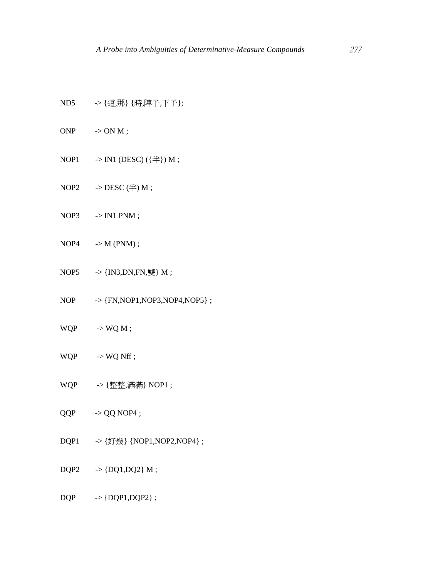- ND5 -> {這,那} {時,陣子,下子};
- $ONP \longrightarrow ONM;$
- NOP1  $\rightarrow$  IN1 (DESC) ({ $\leftrightarrow$ }) M;
- $NOP2 \longrightarrow DESC \text{ (\n4) M ;}$
- $NOP3$   $\rightarrow$   $IN1$   $PNM$ ;
- $NOP4$   $\rightarrow$   $M (PNM)$ ;
- NOP5  $\rightarrow$  {IN3,DN,FN,雙} M;
- NOP -> {FN,NOP1,NOP3,NOP4,NOP5} ;
- $WQP \longrightarrow WQ M;$
- $WQP$   $\longrightarrow$   $WQ$  Nff ;
- WQP ->{整整,滿滿} NOP1;
- $QQP$   $\rightarrow$   $QQ$  NOP4 ;
- DQP1 -> {好幾} {NOP1,NOP2,NOP4} ;
- $DQP2 \longrightarrow \{DQ1, DQ2\} M;$

 $DQP \longrightarrow \{DQP1, DQP2\}$ ;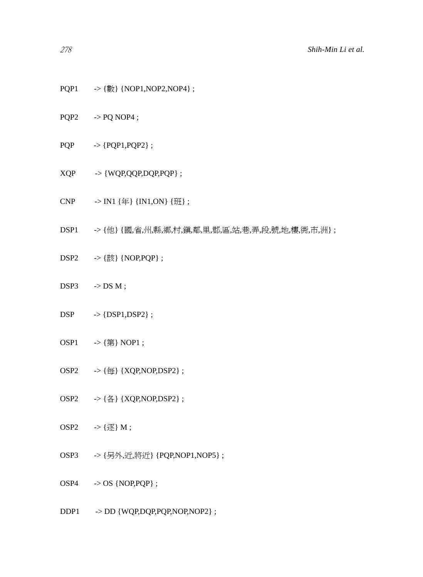- PQP1 ->{數}{NOP1,NOP2,NOP4};
- $PQP2 \longrightarrow PQ NOP4 ;$
- $PQP \longrightarrow {PQP1, PQP2};$
- $XQP \longrightarrow \{WQP, QQP, DQP, PQP\}$ ;
- CNP -> IN1 {年} {IN1,ON} {班} ;
- DSP1 ->{他} {國,省,州,縣,鄉,村,鎭,鄰,里,郡,區,站,巷,弄,段,號,地,樓,衖,市,洲};
- $DSP2 \t>> {$ 該 {NOP,PQP} ;
- $DSP3 \longrightarrow DS M$ ;
- $DSP \rightarrow \{DSP1, DSP2\}$ ;
- $OSP1 \longrightarrow {\$  (第 } NOP1;
- $OSP2 \longrightarrow {\fbox{$\#\}$} \{XQP, NOP, DSP2\} \; ;$
- OSP2 ->{各}{XQP,NOP,DSP2};
- OSP2  $\rightarrow$  {逐 } M;
- OSP3 -> {另外,近,將近} {PQP,NOP1,NOP5};

 $OSP4 \rightarrow OS \{NOP, PQP\};$ 

DDP1 -> DD {WQP,DQP,PQP,NOP,NOP2} ;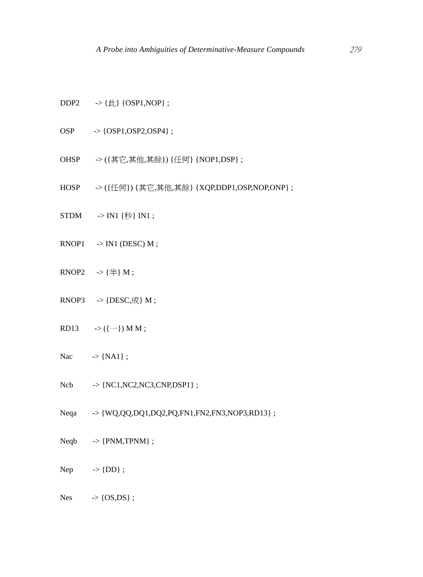- DDP2  $\rightarrow \{ \nparallel \} \{OSP1, NOP \}$ ;
- OSP -> {OSP1,OSP2,OSP4} ;
- OHSP -> ({其它,其他,其餘}) {任何} {NOP1,DSP} ;
- HOSP  $\rightarrow$  ({任何}) {其它,其他,其餘} {XQP,DDP1,OSP,NOP,ONP} ;
- $STDM \longrightarrow IN1 \{\{\text{\#}\}\} IN1;$
- $RNOP1 \rightarrow NN1$  (DESC) M;
- RNOP2  $\rightarrow$  { $\#$ } M;
- RNOP3  $\rightarrow$  {DESC,  $\vec{R}$ } M ;
- RD13  $\rightarrow$  ({-}) M M ;
- Nac  $\rightarrow \{NA1\};$
- $Ncb \rightarrow \{NC1, NC2, NC3, CNP, DSP1\}$ ;
- Neqa -> {WQ,QQ,DQ1,DQ2,PQ,FN1,FN2,FN3,NOP3,RD13} ;
- $Neqb \rightarrow \{PNM,TPNM\}$ ;
- Nep  $\rightarrow$  {DD};
- $Nes \rightarrow \{OS, DS\};$